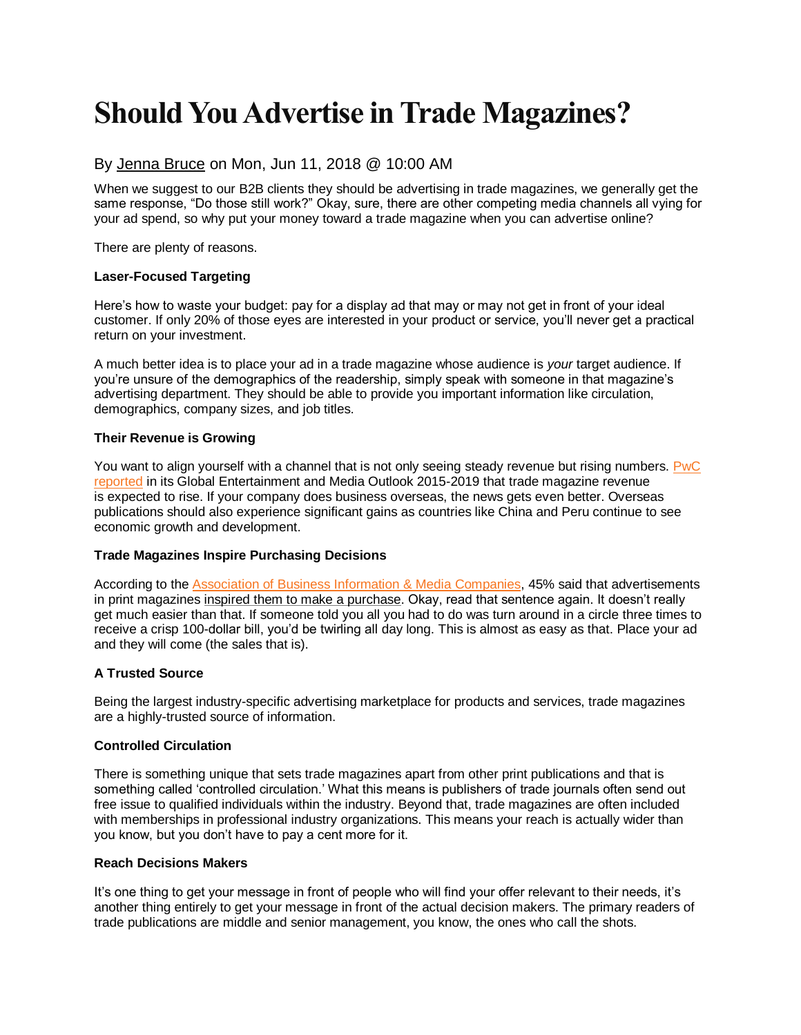## **Should You Advertise in Trade Magazines?**

#### By [Jenna Bruce](http://www.mediaspacesolutions.com/blog/author/jenna-bruce) on Mon, Jun 11, 2018 @ 10:00 AM

When we suggest to our B2B clients they should be advertising in trade magazines, we generally get the same response, "Do those still work?" Okay, sure, there are other competing media channels all vying for your ad spend, so why put your money toward a trade magazine when you can advertise online?

There are plenty of reasons.

#### **Laser-Focused Targeting**

Here's how to waste your budget: pay for a display ad that may or may not get in front of your ideal customer. If only 20% of those eyes are interested in your product or service, you'll never get a practical return on your investment.

A much better idea is to place your ad in a trade magazine whose audience is *your* target audience. If you're unsure of the demographics of the readership, simply speak with someone in that magazine's advertising department. They should be able to provide you important information like circulation, demographics, company sizes, and job titles.

#### **Their Revenue is Growing**

You want to align yourself with a channel that is not only seeing steady revenue but rising numbers. PwC [reported](http://www.pwc.com/gx/en/global-entertainment-media-outlook/assets/2015/magazine-publishing-key-insights-6-trade-magazine-revenue.pdf) in its Global Entertainment and Media Outlook 2015-2019 that trade magazine revenue is expected to rise. If your company does business overseas, the news gets even better. Overseas publications should also experience significant gains as countries like China and Peru continue to see economic growth and development.

#### **Trade Magazines Inspire Purchasing Decisions**

According to the [Association of Business Information & Media Companies,](http://www.siia.net/Divisions/ABM-Association-of-Business-Information-Media/Events) 45% said that advertisements in print magazines inspired them to make a purchase. Okay, read that sentence again. It doesn't really get much easier than that. If someone told you all you had to do was turn around in a circle three times to receive a crisp 100-dollar bill, you'd be twirling all day long. This is almost as easy as that. Place your ad and they will come (the sales that is).

#### **A Trusted Source**

Being the largest industry-specific advertising marketplace for products and services, trade magazines are a highly-trusted source of information.

#### **Controlled Circulation**

There is something unique that sets trade magazines apart from other print publications and that is something called 'controlled circulation.' What this means is publishers of trade journals often send out free issue to qualified individuals within the industry. Beyond that, trade magazines are often included with memberships in professional industry organizations. This means your reach is actually wider than you know, but you don't have to pay a cent more for it.

#### **Reach Decisions Makers**

It's one thing to get your message in front of people who will find your offer relevant to their needs, it's another thing entirely to get your message in front of the actual decision makers. The primary readers of trade publications are middle and senior management, you know, the ones who call the shots.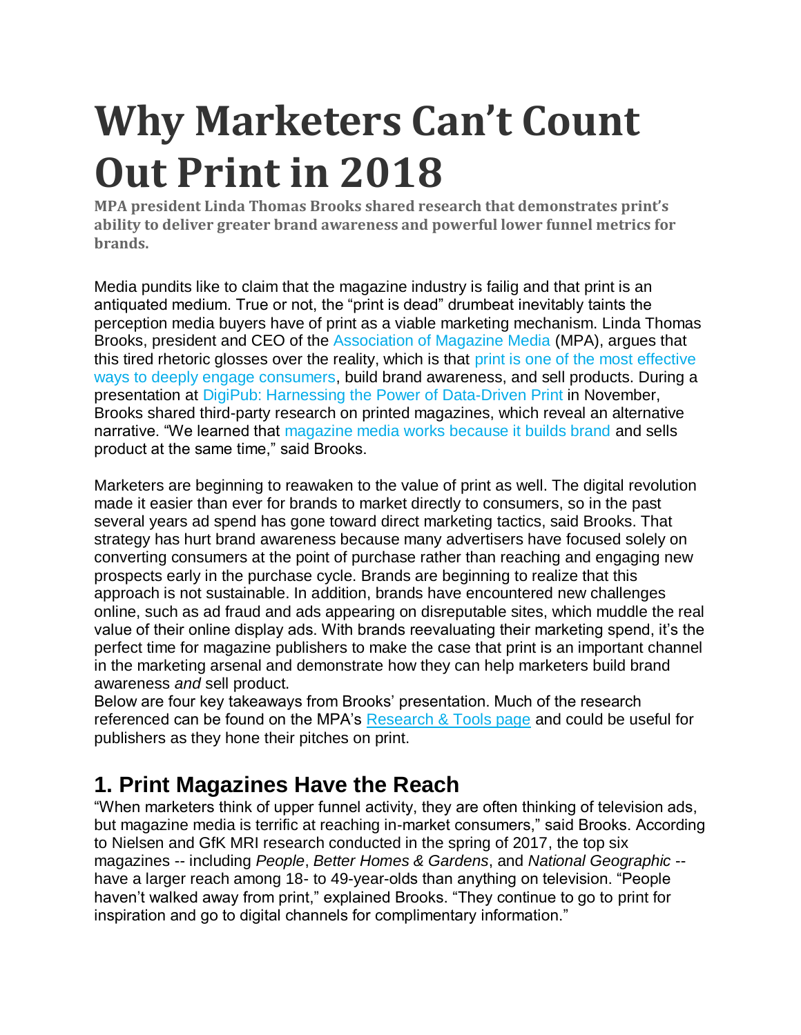# **Why Marketers Can't Count Out Print in 2018**

**MPA president Linda Thomas Brooks shared research that demonstrates print's ability to deliver greater brand awareness and powerful lower funnel metrics for brands.**

Media pundits like to claim that the magazine industry is failig and that print is an antiquated medium. True or not, the "print is dead" drumbeat inevitably taints the perception media buyers have of print as a viable marketing mechanism. Linda Thomas Brooks, president and CEO of the [Association of Magazine Media](http://www.magazine.org/) (MPA), argues that this tired rhetoric glosses over the reality, which is that [print is one of the most effective](http://www.pubexec.com/article/mpa-president-2017-will-year-magazine-publishers-reaffirm-value-marketers-readers/)  [ways to deeply engage consumers,](http://www.pubexec.com/article/mpa-president-2017-will-year-magazine-publishers-reaffirm-value-marketers-readers/) build brand awareness, and sell products. During a presentation at [DigiPub: Harnessing the Power of Data-Driven Print](http://www.pubexec.com/article/future-print-data-driven-future/) in November, Brooks shared third-party research on printed magazines, which reveal an alternative narrative. "We learned that [magazine media works because it builds brand](http://www.pubexec.com/post/digipub-mpa-offered-new-message-printers-showcased-impressive-digital-printing-capabilities/) and sells product at the same time," said Brooks.

Marketers are beginning to reawaken to the value of print as well. The digital revolution made it easier than ever for brands to market directly to consumers, so in the past several years ad spend has gone toward direct marketing tactics, said Brooks. That strategy has hurt brand awareness because many advertisers have focused solely on converting consumers at the point of purchase rather than reaching and engaging new prospects early in the purchase cycle. Brands are beginning to realize that this approach is not sustainable. In addition, brands have encountered new challenges online, such as ad fraud and ads appearing on disreputable sites, which muddle the real value of their online display ads. With brands reevaluating their marketing spend, it's the perfect time for magazine publishers to make the case that print is an important channel in the marketing arsenal and demonstrate how they can help marketers build brand awareness *and* sell product.

Below are four key takeaways from Brooks' presentation. Much of the research referenced can be found on the MPA's [Research & Tools page](http://www.magazine.org/insights-resources/research-tools) and could be useful for publishers as they hone their pitches on print.

## **1. Print Magazines Have the Reach**

"When marketers think of upper funnel activity, they are often thinking of television ads, but magazine media is terrific at reaching in-market consumers," said Brooks. According to Nielsen and GfK MRI research conducted in the spring of 2017, the top six magazines -- including *People*, *Better Homes & Gardens*, and *National Geographic* - have a larger reach among 18- to 49-year-olds than anything on television. "People haven't walked away from print," explained Brooks. "They continue to go to print for inspiration and go to digital channels for complimentary information."